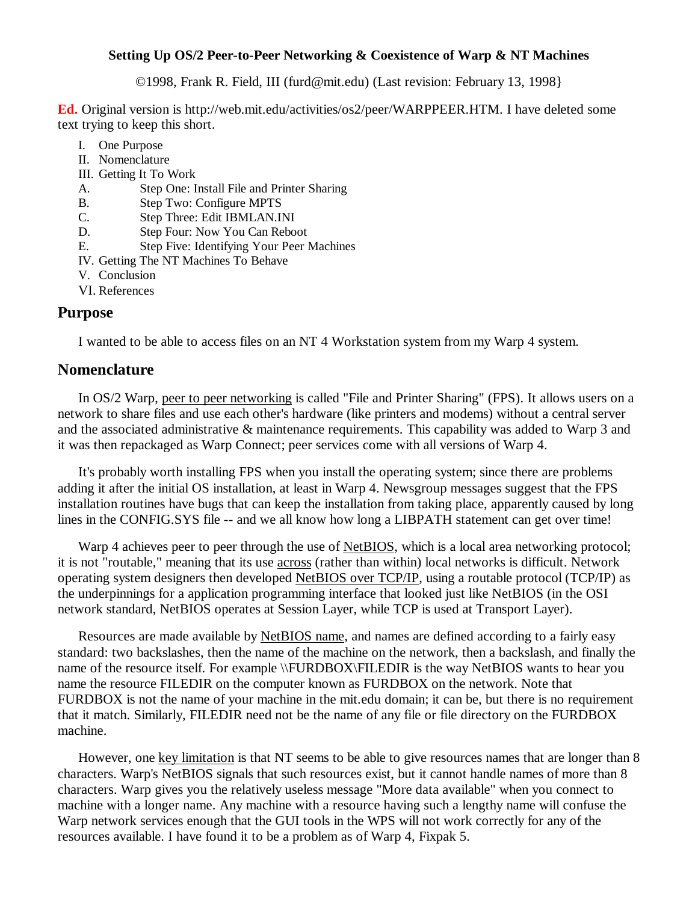#### **Setting Up OS/2 Peer-to-Peer Networking & Coexistence of Warp & NT Machines**

©1998, Frank R. Field, III (furd@mit.edu) (Last revision: February 13, 1998}

**Ed.** Original version is http://web.mit.edu/activities/os2/peer/WARPPEER.HTM. I have deleted some text trying to keep this short.

- I. One Purpose
- II. Nomenclature
- III. Getting It To Work
- A. Step One: Install File and Printer Sharing
- B. Step Two: Configure MPTS
- C. Step Three: Edit IBMLAN.INI
- D. Step Four: Now You Can Reboot
- E. Step Five: Identifying Your Peer Machines
- IV. Getting The NT Machines To Behave
- V. Conclusion
- VI. References

## **Purpose**

I wanted to be able to access files on an NT 4 Workstation system from my Warp 4 system.

### **Nomenclature**

In OS/2 Warp, peer to peer networking is called "File and Printer Sharing" (FPS). It allows users on a network to share files and use each other's hardware (like printers and modems) without a central server and the associated administrative & maintenance requirements. This capability was added to Warp 3 and it was then repackaged as Warp Connect; peer services come with all versions of Warp 4.

It's probably worth installing FPS when you install the operating system; since there are problems adding it after the initial OS installation, at least in Warp 4. Newsgroup messages suggest that the FPS installation routines have bugs that can keep the installation from taking place, apparently caused by long lines in the CONFIG.SYS file -- and we all know how long a LIBPATH statement can get over time!

Warp 4 achieves peer to peer through the use of NetBIOS, which is a local area networking protocol; it is not "routable," meaning that its use across (rather than within) local networks is difficult. Network operating system designers then developed NetBIOS over TCP/IP, using a routable protocol (TCP/IP) as the underpinnings for a application programming interface that looked just like NetBIOS (in the OSI network standard, NetBIOS operates at Session Layer, while TCP is used at Transport Layer).

Resources are made available by NetBIOS name, and names are defined according to a fairly easy standard: two backslashes, then the name of the machine on the network, then a backslash, and finally the name of the resource itself. For example \\FURDBOX\FILEDIR is the way NetBIOS wants to hear you name the resource FILEDIR on the computer known as FURDBOX on the network. Note that FURDBOX is not the name of your machine in the mit.edu domain; it can be, but there is no requirement that it match. Similarly, FILEDIR need not be the name of any file or file directory on the FURDBOX machine.

However, one key limitation is that NT seems to be able to give resources names that are longer than 8 characters. Warp's NetBIOS signals that such resources exist, but it cannot handle names of more than 8 characters. Warp gives you the relatively useless message "More data available" when you connect to machine with a longer name. Any machine with a resource having such a lengthy name will confuse the Warp network services enough that the GUI tools in the WPS will not work correctly for any of the resources available. I have found it to be a problem as of Warp 4, Fixpak 5.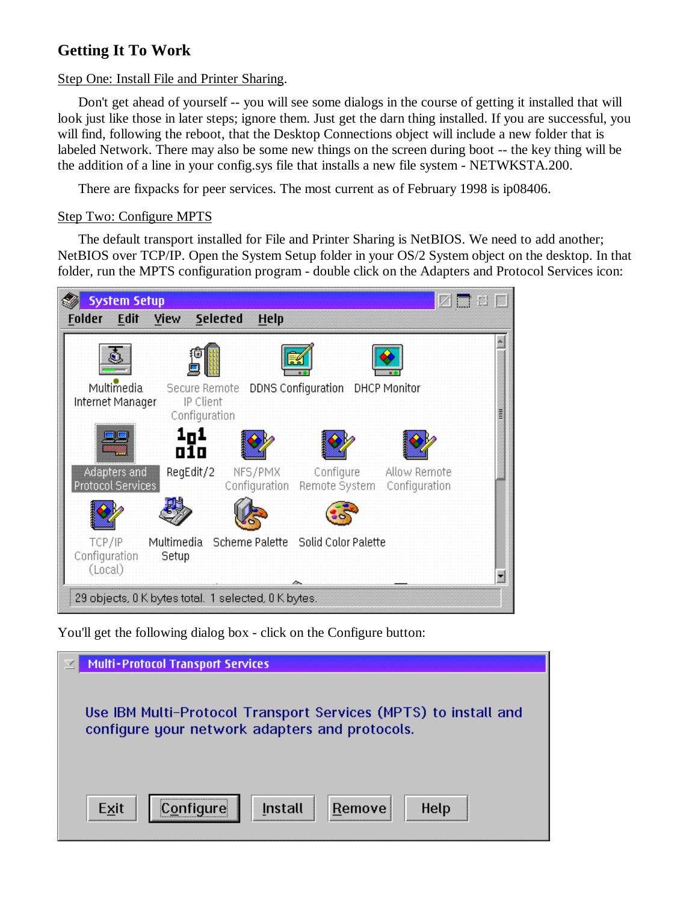# **Getting It To Work**

Step One: Install File and Printer Sharing.

Don't get ahead of yourself -- you will see some dialogs in the course of getting it installed that will look just like those in later steps; ignore them. Just get the darn thing installed. If you are successful, you will find, following the reboot, that the Desktop Connections object will include a new folder that is labeled Network. There may also be some new things on the screen during boot -- the key thing will be the addition of a line in your config.sys file that installs a new file system - NETWKSTA.200.

There are fixpacks for peer services. The most current as of February 1998 is ip08406.

#### Step Two: Configure MPTS

The default transport installed for File and Printer Sharing is NetBIOS. We need to add another; NetBIOS over TCP/IP. Open the System Setup folder in your OS/2 System object on the desktop. In that folder, run the MPTS configuration program - double click on the Adapters and Protocol Services icon:



You'll get the following dialog box - click on the Configure button:

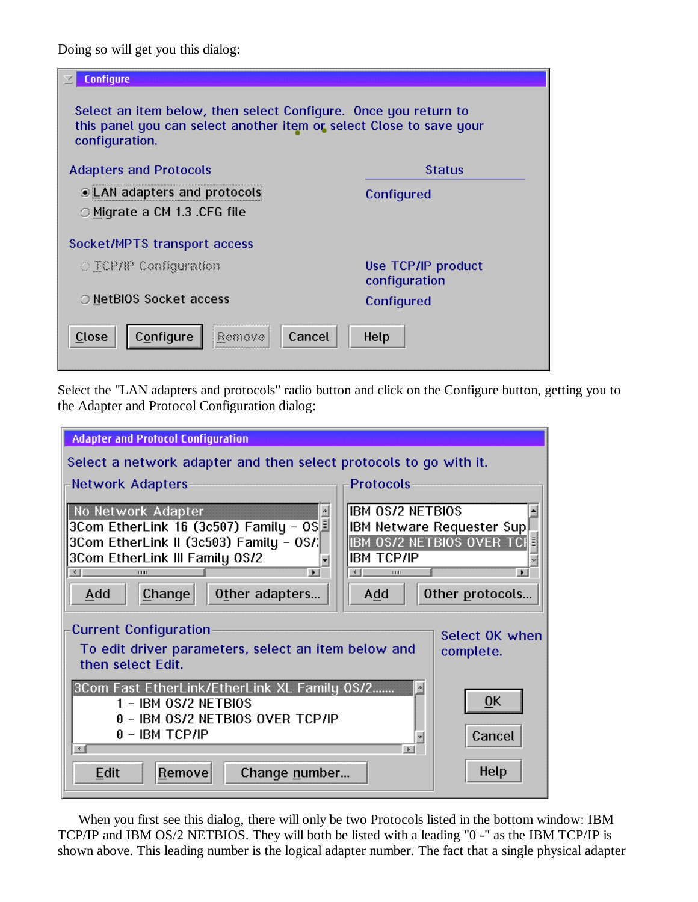Doing so will get you this dialog:

| Configure                                                                                                                                                |                                     |  |  |  |
|----------------------------------------------------------------------------------------------------------------------------------------------------------|-------------------------------------|--|--|--|
| Select an item below, then select Configure. Once you return to<br>this panel you can select another item or select Close to save your<br>configuration. |                                     |  |  |  |
| <b>Adapters and Protocols</b>                                                                                                                            | <b>Status</b>                       |  |  |  |
| @ LAN adapters and protocols                                                                                                                             | Configured                          |  |  |  |
| ○ Migrate a CM 1.3 .CFG file                                                                                                                             |                                     |  |  |  |
| Socket/MPTS transport access                                                                                                                             |                                     |  |  |  |
| $\bigcirc$ TCP/IP Configuration                                                                                                                          | Use TCP/IP product<br>configuration |  |  |  |
| O NetBIOS Socket access                                                                                                                                  | Configured                          |  |  |  |
| Configure<br>Cancel<br>Close<br>Remove                                                                                                                   | Help                                |  |  |  |

Select the "LAN adapters and protocols" radio button and click on the Configure button, getting you to the Adapter and Protocol Configuration dialog:



When you first see this dialog, there will only be two Protocols listed in the bottom window: IBM TCP/IP and IBM OS/2 NETBIOS. They will both be listed with a leading "0 -" as the IBM TCP/IP is shown above. This leading number is the logical adapter number. The fact that a single physical adapter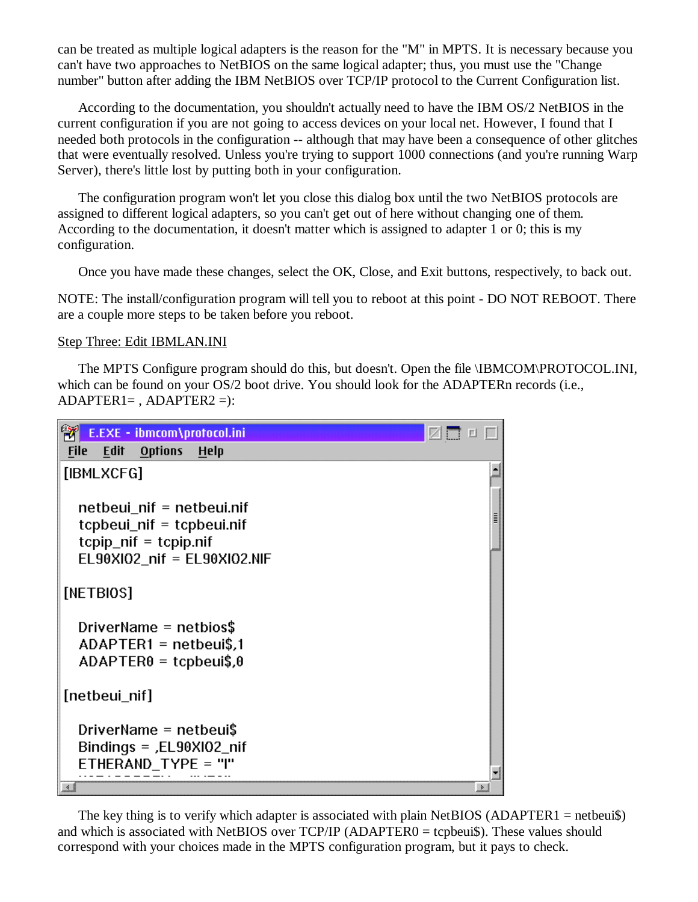can be treated as multiple logical adapters is the reason for the "M" in MPTS. It is necessary because you can't have two approaches to NetBIOS on the same logical adapter; thus, you must use the "Change number" button after adding the IBM NetBIOS over TCP/IP protocol to the Current Configuration list.

According to the documentation, you shouldn't actually need to have the IBM OS/2 NetBIOS in the current configuration if you are not going to access devices on your local net. However, I found that I needed both protocols in the configuration -- although that may have been a consequence of other glitches that were eventually resolved. Unless you're trying to support 1000 connections (and you're running Warp Server), there's little lost by putting both in your configuration.

The configuration program won't let you close this dialog box until the two NetBIOS protocols are assigned to different logical adapters, so you can't get out of here without changing one of them. According to the documentation, it doesn't matter which is assigned to adapter 1 or 0; this is my configuration.

Once you have made these changes, select the OK, Close, and Exit buttons, respectively, to back out.

NOTE: The install/configuration program will tell you to reboot at this point - DO NOT REBOOT. There are a couple more steps to be taken before you reboot.

#### Step Three: Edit IBMLAN.INI

The MPTS Configure program should do this, but doesn't. Open the file \IBMCOM\PROTOCOL.INI, which can be found on your OS/2 boot drive. You should look for the ADAPTERn records (i.e.,  $ADAPTER1=$ ,  $ADAPTER2=$ ):

```
E.EXE - ibmcom\protocol.ini
                                                   ZRUD
File Edit
          Options
                   Help
[IBMLXCFG]
  netbeui nif = netbeui.nif
  tcpbeui_nif = tcpbeui.nif
  tcpip_nif = tcpip.nif
  ELS0XIO2 nif = ELS0XIO2.NIF[NETBIOS]
  DriverName = netbios$
  ADAPTER1 = netbeui$,1
  ADAPTER0 = tcpbeui$,0
[netbeul_nif]
  DriverName = netbeui$
  Bindings = ,EE90X102 nif
  ETHERAND_TYPE = "I"
≚∫
```
The key thing is to verify which adapter is associated with plain NetBIOS (ADAPTER1 = netbeui\$) and which is associated with NetBIOS over TCP/IP (ADAPTER0 = tcpbeui\$). These values should correspond with your choices made in the MPTS configuration program, but it pays to check.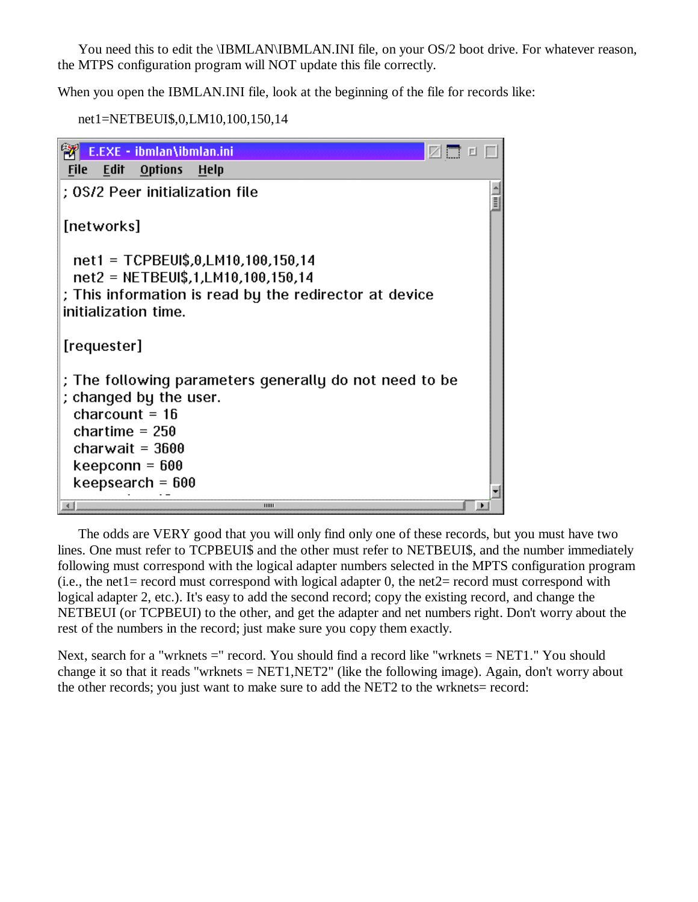You need this to edit the \IBMLAN\IBMLAN.INI file, on your OS/2 boot drive. For whatever reason, the MTPS configuration program will NOT update this file correctly.

When you open the IBMLAN.INI file, look at the beginning of the file for records like:

```
net1=NETBEUI$,0,LM10,100,150,14
```

|                                                        |             | E.EXE - ibmlan\ibmlan.ini                                                                                                   |                                                                                                                                    |   |
|--------------------------------------------------------|-------------|-----------------------------------------------------------------------------------------------------------------------------|------------------------------------------------------------------------------------------------------------------------------------|---|
| <b>File</b>                                            | Edit        | <b>Options</b>                                                                                                              | - Help                                                                                                                             |   |
|                                                        |             |                                                                                                                             | : 0S/2 Peer initialization file                                                                                                    | Ī |
|                                                        | [networks]  |                                                                                                                             |                                                                                                                                    |   |
|                                                        |             | initialization time.                                                                                                        | net1 = TCPBEUI\$,0,LM10,100,150,14<br>net2 = NETBEUI\$,1,LM10,100,150,14<br>; This information is read by the redirector at device |   |
|                                                        | [requester] |                                                                                                                             |                                                                                                                                    |   |
|                                                        |             | ; changed by the user.<br>charcount = $16$<br>chartime = $250$<br>charwait = $3600$<br>keepconn = 600<br>keepsearch = $600$ | ; The following parameters generally do not need to be                                                                             |   |
| $\left\vert \left\langle \cdot\right\vert \right\vert$ |             |                                                                                                                             | нин                                                                                                                                |   |

The odds are VERY good that you will only find only one of these records, but you must have two lines. One must refer to TCPBEUI\$ and the other must refer to NETBEUI\$, and the number immediately following must correspond with the logical adapter numbers selected in the MPTS configuration program (i.e., the net1= record must correspond with logical adapter 0, the net2= record must correspond with logical adapter 2, etc.). It's easy to add the second record; copy the existing record, and change the NETBEUI (or TCPBEUI) to the other, and get the adapter and net numbers right. Don't worry about the rest of the numbers in the record; just make sure you copy them exactly.

Next, search for a "wrknets =" record. You should find a record like "wrknets = NET1." You should change it so that it reads "wrknets  $= NET1, NET2$ " (like the following image). Again, don't worry about the other records; you just want to make sure to add the NET2 to the wrknets= record: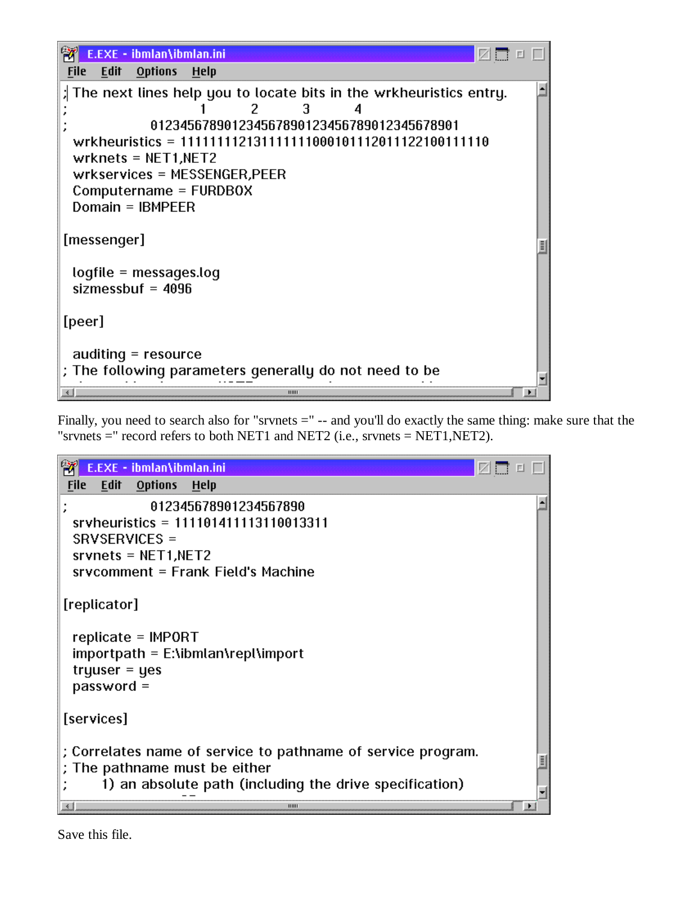

Finally, you need to search also for "srvnets  $=$ "  $-$  and you'll do exactly the same thing: make sure that the "srvnets  $=$ " record refers to both NET1 and NET2 (i.e., srvnets  $=$  NET1, NET2).



Save this file.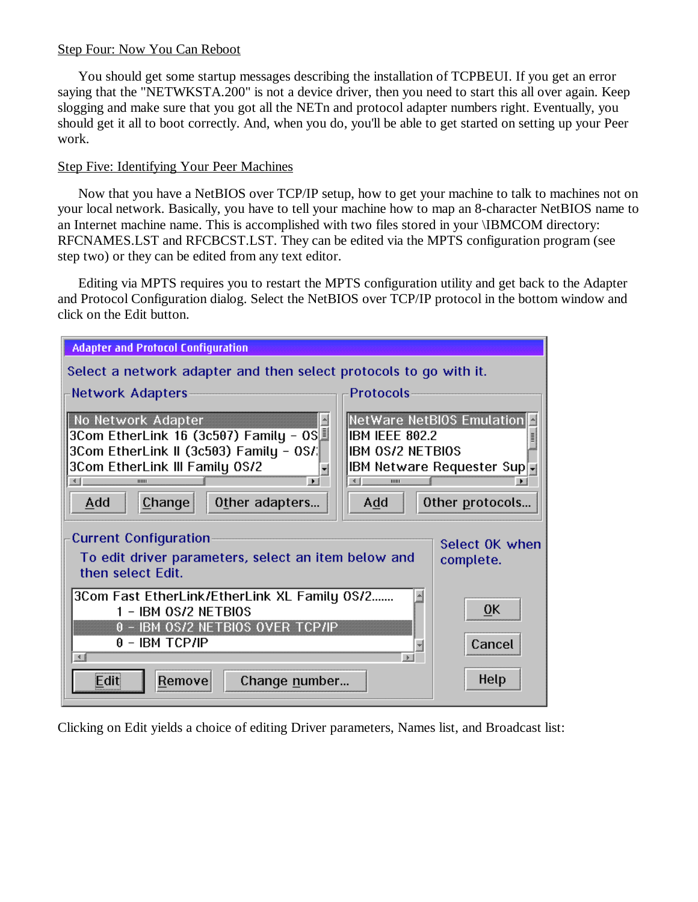#### Step Four: Now You Can Reboot

You should get some startup messages describing the installation of TCPBEUI. If you get an error saying that the "NETWKSTA.200" is not a device driver, then you need to start this all over again. Keep slogging and make sure that you got all the NETn and protocol adapter numbers right. Eventually, you should get it all to boot correctly. And, when you do, you'll be able to get started on setting up your Peer work.

### Step Five: Identifying Your Peer Machines

Now that you have a NetBIOS over TCP/IP setup, how to get your machine to talk to machines not on your local network. Basically, you have to tell your machine how to map an 8-character NetBIOS name to an Internet machine name. This is accomplished with two files stored in your \IBMCOM directory: RFCNAMES.LST and RFCBCST.LST. They can be edited via the MPTS configuration program (see step two) or they can be edited from any text editor.

Editing via MPTS requires you to restart the MPTS configuration utility and get back to the Adapter and Protocol Configuration dialog. Select the NetBIOS over TCP/IP protocol in the bottom window and click on the Edit button.

| <b>Adapter and Protocol Configuration</b>                                                                                                                                                                                                                                                                                       |                                                                                           |  |  |  |
|---------------------------------------------------------------------------------------------------------------------------------------------------------------------------------------------------------------------------------------------------------------------------------------------------------------------------------|-------------------------------------------------------------------------------------------|--|--|--|
| Select a network adapter and then select protocols to go with it.                                                                                                                                                                                                                                                               |                                                                                           |  |  |  |
| Protocols<br>Network Adapters                                                                                                                                                                                                                                                                                                   |                                                                                           |  |  |  |
| No Network Adapter<br>$\overline{\phantom{a}}$<br>3Com EtherLink 16 (3c507) Family - OS<br>IBM IEEE 802.2<br>3Com EtherLink II (3c503) Family - OS/<br><b>IBM 0S/2 NETBIOS</b><br>3Com EtherLink III Family 0S/2<br>۳<br>$\left\  \cdot \right\ $<br>≚<br>$\blacksquare$<br>нии<br>иш<br>Change<br>Add<br>Add<br>Other adapters | NetWare NetBIOS Emulation<br>lilli<br><b>IBM Netware Requester Sup</b><br>Other protocols |  |  |  |
| <b>Current Configuration</b><br>Select OK when<br>To edit driver parameters, select an item below and<br>complete.<br>then select Edit.                                                                                                                                                                                         |                                                                                           |  |  |  |
| 3Com Fast EtherLink/EtherLink XL Family 0S/2<br>시<br>0K<br>1 - IBM 0S/2 NETBIOS<br>0 - IBM 0S/2 NETBIOS OVER TCP/IP<br>$0 -$ IBM TCP/IP<br>Cancel<br>$\mathbf{v}$<br>$\rightarrow$ 1<br>$\left  \cdot \right $                                                                                                                  |                                                                                           |  |  |  |
| Edit<br>Remove<br>Change number                                                                                                                                                                                                                                                                                                 | Help                                                                                      |  |  |  |

Clicking on Edit yields a choice of editing Driver parameters, Names list, and Broadcast list: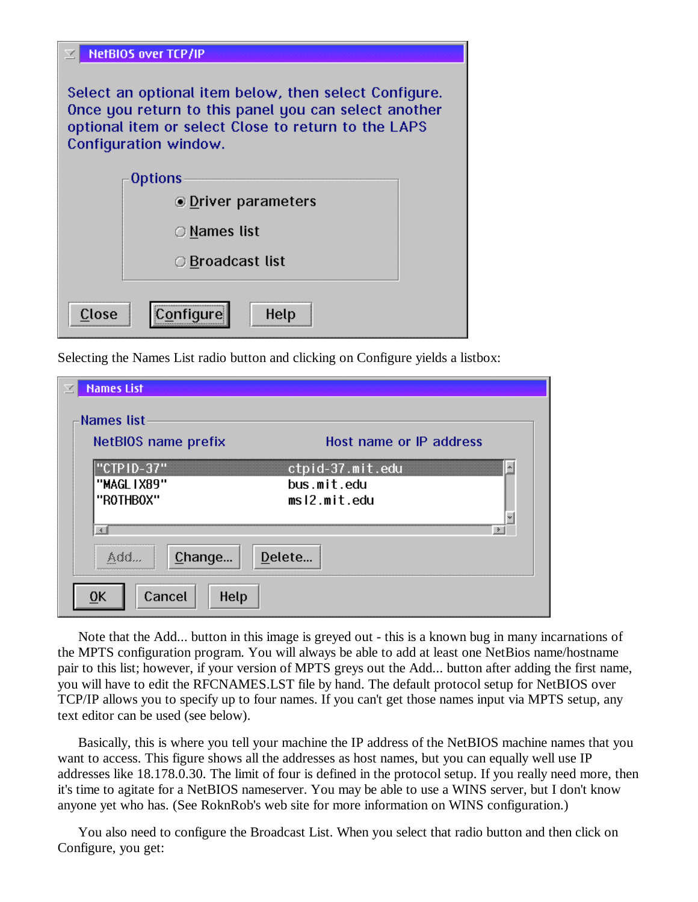| <b>NetBIOS over TCP/IP</b>                                                                                                                                                                    |  |  |  |  |
|-----------------------------------------------------------------------------------------------------------------------------------------------------------------------------------------------|--|--|--|--|
| Select an optional item below, then select Configure.<br>Once you return to this panel you can select another<br>optional item or select Close to return to the LAPS<br>Configuration window. |  |  |  |  |
| <b>Options</b>                                                                                                                                                                                |  |  |  |  |
| <b>ODriver parameters</b>                                                                                                                                                                     |  |  |  |  |
| ○ Names list                                                                                                                                                                                  |  |  |  |  |
| ○ Broadcast list                                                                                                                                                                              |  |  |  |  |
| <br>Close<br>Help                                                                                                                                                                             |  |  |  |  |

Selecting the Names List radio button and clicking on Configure yields a listbox:

| <b>Names List</b>                      |                                                            |  |
|----------------------------------------|------------------------------------------------------------|--|
| Names list                             |                                                            |  |
| NetBIOS name prefix                    | Host name or IP address                                    |  |
| "CTPID-37"<br>"MAGL IX89"<br>"ROTHBOX" | ×.<br>ctpid-37.mit.edu<br>bus.mit.edu<br>ms12.mit.edu<br>÷ |  |
| ≚<br>Change<br>Add                     | $\rightarrow$ 1<br>Delete                                  |  |
| Cancel<br>Help<br>0K                   |                                                            |  |

Note that the Add... button in this image is greyed out - this is a known bug in many incarnations of the MPTS configuration program. You will always be able to add at least one NetBios name/hostname pair to this list; however, if your version of MPTS greys out the Add... button after adding the first name, you will have to edit the RFCNAMES.LST file by hand. The default protocol setup for NetBIOS over TCP/IP allows you to specify up to four names. If you can't get those names input via MPTS setup, any text editor can be used (see below).

Basically, this is where you tell your machine the IP address of the NetBIOS machine names that you want to access. This figure shows all the addresses as host names, but you can equally well use IP addresses like 18.178.0.30. The limit of four is defined in the protocol setup. If you really need more, then it's time to agitate for a NetBIOS nameserver. You may be able to use a WINS server, but I don't know anyone yet who has. (See RoknRob's web site for more information on WINS configuration.)

You also need to configure the Broadcast List. When you select that radio button and then click on Configure, you get: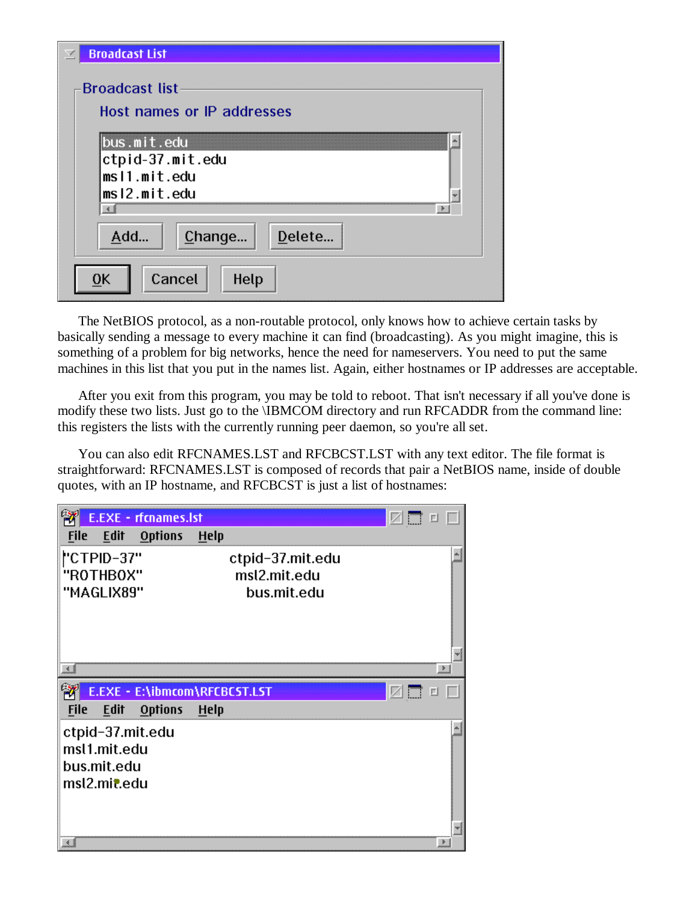| <b>Broadcast List</b><br>K                                                                                |
|-----------------------------------------------------------------------------------------------------------|
| <b>Broadcast list</b><br>Host names or IP addresses                                                       |
| bus.mit.edu<br>×,<br>ctpid-37.mit.edu<br>msl1.mit.edu<br>ms12.mit.edu<br>w<br>→<br>$\left  \cdot \right $ |
| Delete<br>Add<br>Change                                                                                   |
| Cancel<br>Help<br>0K                                                                                      |

The NetBIOS protocol, as a non-routable protocol, only knows how to achieve certain tasks by basically sending a message to every machine it can find (broadcasting). As you might imagine, this is something of a problem for big networks, hence the need for nameservers. You need to put the same machines in this list that you put in the names list. Again, either hostnames or IP addresses are acceptable.

After you exit from this program, you may be told to reboot. That isn't necessary if all you've done is modify these two lists. Just go to the \IBMCOM directory and run RFCADDR from the command line: this registers the lists with the currently running peer daemon, so you're all set.

You can also edit RFCNAMES.LST and RFCBCST.LST with any text editor. The file format is straightforward: RFCNAMES.LST is composed of records that pair a NetBIOS name, inside of double quotes, with an IP hostname, and RFCBCST is just a list of hostnames: